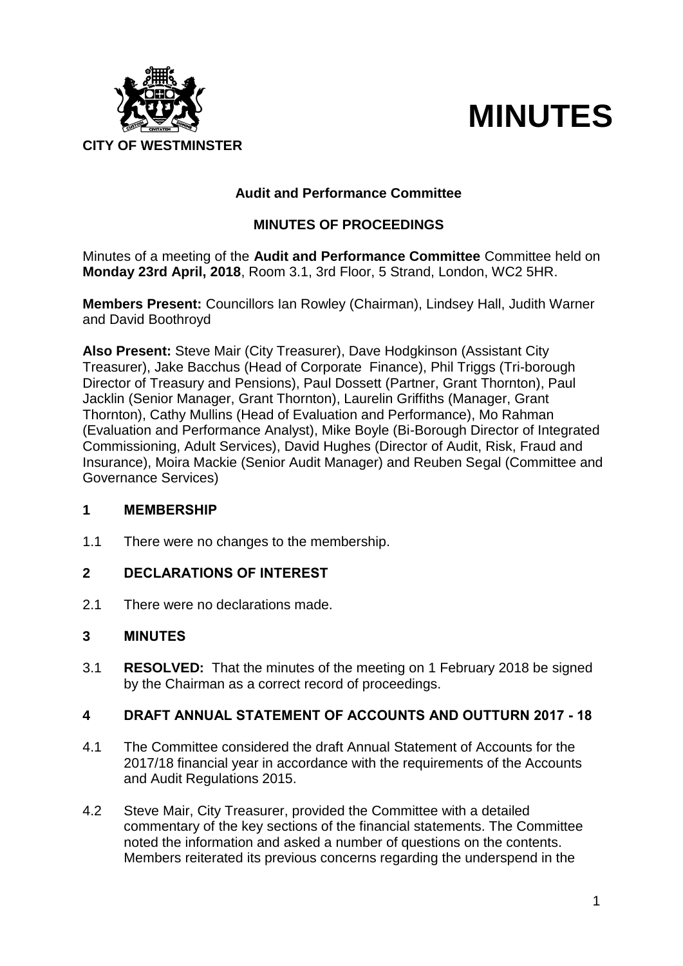

# **MINUTES**

# **Audit and Performance Committee**

# **MINUTES OF PROCEEDINGS**

Minutes of a meeting of the **Audit and Performance Committee** Committee held on **Monday 23rd April, 2018**, Room 3.1, 3rd Floor, 5 Strand, London, WC2 5HR.

**Members Present:** Councillors Ian Rowley (Chairman), Lindsey Hall, Judith Warner and David Boothroyd

**Also Present:** Steve Mair (City Treasurer), Dave Hodgkinson (Assistant City Treasurer), Jake Bacchus (Head of Corporate Finance), Phil Triggs (Tri-borough Director of Treasury and Pensions), Paul Dossett (Partner, Grant Thornton), Paul Jacklin (Senior Manager, Grant Thornton), Laurelin Griffiths (Manager, Grant Thornton), Cathy Mullins (Head of Evaluation and Performance), Mo Rahman (Evaluation and Performance Analyst), Mike Boyle (Bi-Borough Director of Integrated Commissioning, Adult Services), David Hughes (Director of Audit, Risk, Fraud and Insurance), Moira Mackie (Senior Audit Manager) and Reuben Segal (Committee and Governance Services)

#### **1 MEMBERSHIP**

1.1 There were no changes to the membership.

# **2 DECLARATIONS OF INTEREST**

2.1 There were no declarations made.

#### **3 MINUTES**

3.1 **RESOLVED:** That the minutes of the meeting on 1 February 2018 be signed by the Chairman as a correct record of proceedings.

#### **4 DRAFT ANNUAL STATEMENT OF ACCOUNTS AND OUTTURN 2017 - 18**

- 4.1 The Committee considered the draft Annual Statement of Accounts for the 2017/18 financial year in accordance with the requirements of the Accounts and Audit Regulations 2015.
- 4.2 Steve Mair, City Treasurer, provided the Committee with a detailed commentary of the key sections of the financial statements. The Committee noted the information and asked a number of questions on the contents. Members reiterated its previous concerns regarding the underspend in the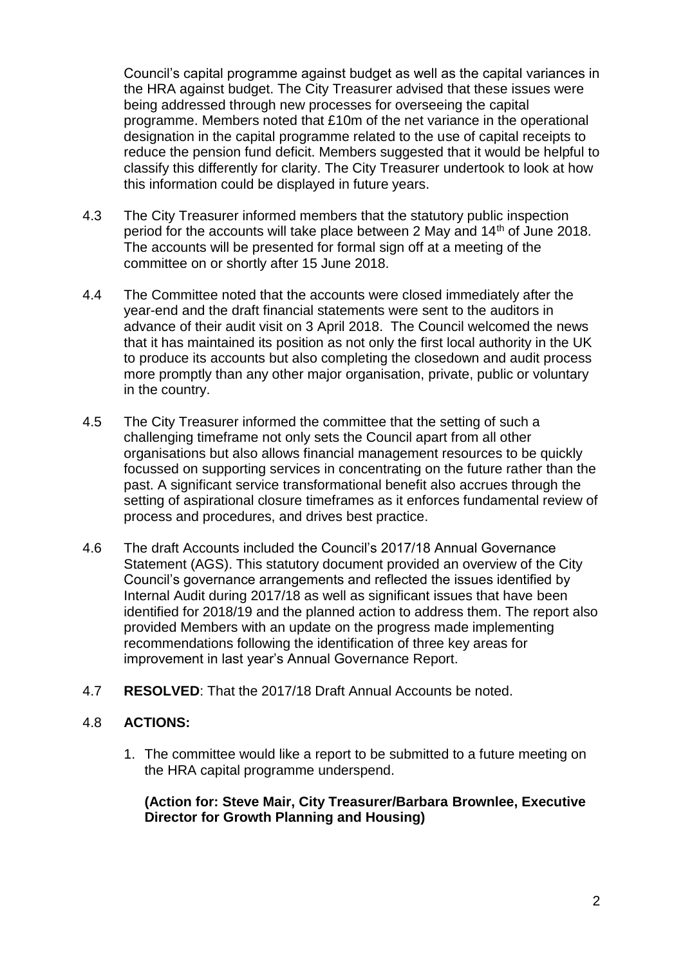Council's capital programme against budget as well as the capital variances in the HRA against budget. The City Treasurer advised that these issues were being addressed through new processes for overseeing the capital programme. Members noted that £10m of the net variance in the operational designation in the capital programme related to the use of capital receipts to reduce the pension fund deficit. Members suggested that it would be helpful to classify this differently for clarity. The City Treasurer undertook to look at how this information could be displayed in future years.

- 4.3 The City Treasurer informed members that the statutory public inspection period for the accounts will take place between 2 May and 14<sup>th</sup> of June 2018. The accounts will be presented for formal sign off at a meeting of the committee on or shortly after 15 June 2018.
- 4.4 The Committee noted that the accounts were closed immediately after the year-end and the draft financial statements were sent to the auditors in advance of their audit visit on 3 April 2018. The Council welcomed the news that it has maintained its position as not only the first local authority in the UK to produce its accounts but also completing the closedown and audit process more promptly than any other major organisation, private, public or voluntary in the country.
- 4.5 The City Treasurer informed the committee that the setting of such a challenging timeframe not only sets the Council apart from all other organisations but also allows financial management resources to be quickly focussed on supporting services in concentrating on the future rather than the past. A significant service transformational benefit also accrues through the setting of aspirational closure timeframes as it enforces fundamental review of process and procedures, and drives best practice.
- 4.6 The draft Accounts included the Council's 2017/18 Annual Governance Statement (AGS). This statutory document provided an overview of the City Council's governance arrangements and reflected the issues identified by Internal Audit during 2017/18 as well as significant issues that have been identified for 2018/19 and the planned action to address them. The report also provided Members with an update on the progress made implementing recommendations following the identification of three key areas for improvement in last year's Annual Governance Report.
- 4.7 **RESOLVED**: That the 2017/18 Draft Annual Accounts be noted.

# 4.8 **ACTIONS:**

1. The committee would like a report to be submitted to a future meeting on the HRA capital programme underspend.

**(Action for: Steve Mair, City Treasurer/Barbara Brownlee, Executive Director for Growth Planning and Housing)**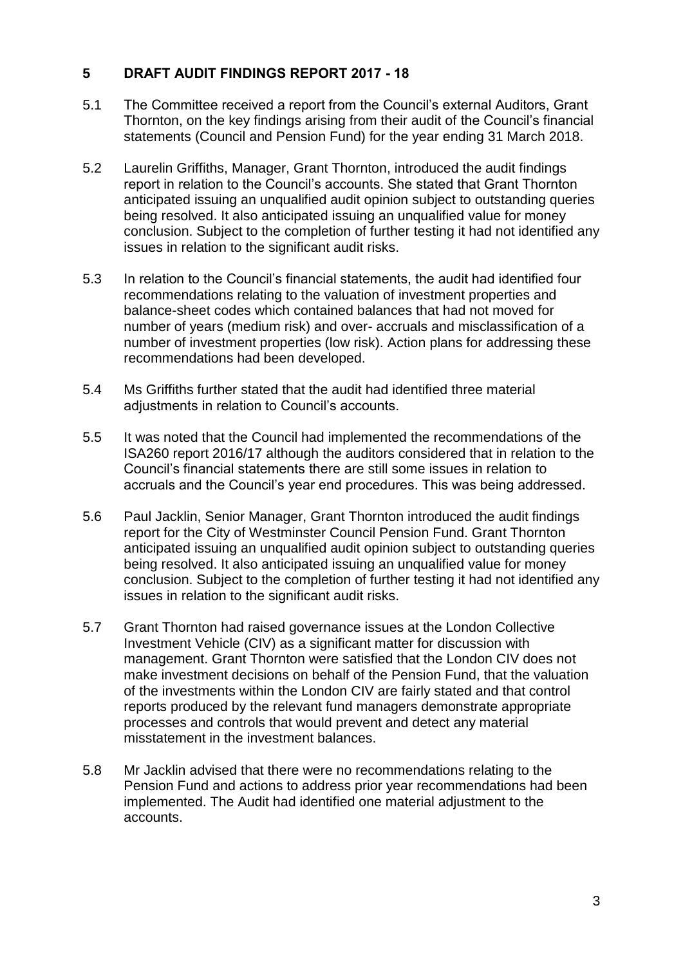# **5 DRAFT AUDIT FINDINGS REPORT 2017 - 18**

- 5.1 The Committee received a report from the Council's external Auditors, Grant Thornton, on the key findings arising from their audit of the Council's financial statements (Council and Pension Fund) for the year ending 31 March 2018.
- 5.2 Laurelin Griffiths, Manager, Grant Thornton, introduced the audit findings report in relation to the Council's accounts. She stated that Grant Thornton anticipated issuing an unqualified audit opinion subject to outstanding queries being resolved. It also anticipated issuing an unqualified value for money conclusion. Subject to the completion of further testing it had not identified any issues in relation to the significant audit risks.
- 5.3 In relation to the Council's financial statements, the audit had identified four recommendations relating to the valuation of investment properties and balance-sheet codes which contained balances that had not moved for number of years (medium risk) and over- accruals and misclassification of a number of investment properties (low risk). Action plans for addressing these recommendations had been developed.
- 5.4 Ms Griffiths further stated that the audit had identified three material adjustments in relation to Council's accounts.
- 5.5 It was noted that the Council had implemented the recommendations of the ISA260 report 2016/17 although the auditors considered that in relation to the Council's financial statements there are still some issues in relation to accruals and the Council's year end procedures. This was being addressed.
- 5.6 Paul Jacklin, Senior Manager, Grant Thornton introduced the audit findings report for the City of Westminster Council Pension Fund. Grant Thornton anticipated issuing an unqualified audit opinion subject to outstanding queries being resolved. It also anticipated issuing an unqualified value for money conclusion. Subject to the completion of further testing it had not identified any issues in relation to the significant audit risks.
- 5.7 Grant Thornton had raised governance issues at the London Collective Investment Vehicle (CIV) as a significant matter for discussion with management. Grant Thornton were satisfied that the London CIV does not make investment decisions on behalf of the Pension Fund, that the valuation of the investments within the London CIV are fairly stated and that control reports produced by the relevant fund managers demonstrate appropriate processes and controls that would prevent and detect any material misstatement in the investment balances.
- 5.8 Mr Jacklin advised that there were no recommendations relating to the Pension Fund and actions to address prior year recommendations had been implemented. The Audit had identified one material adjustment to the accounts.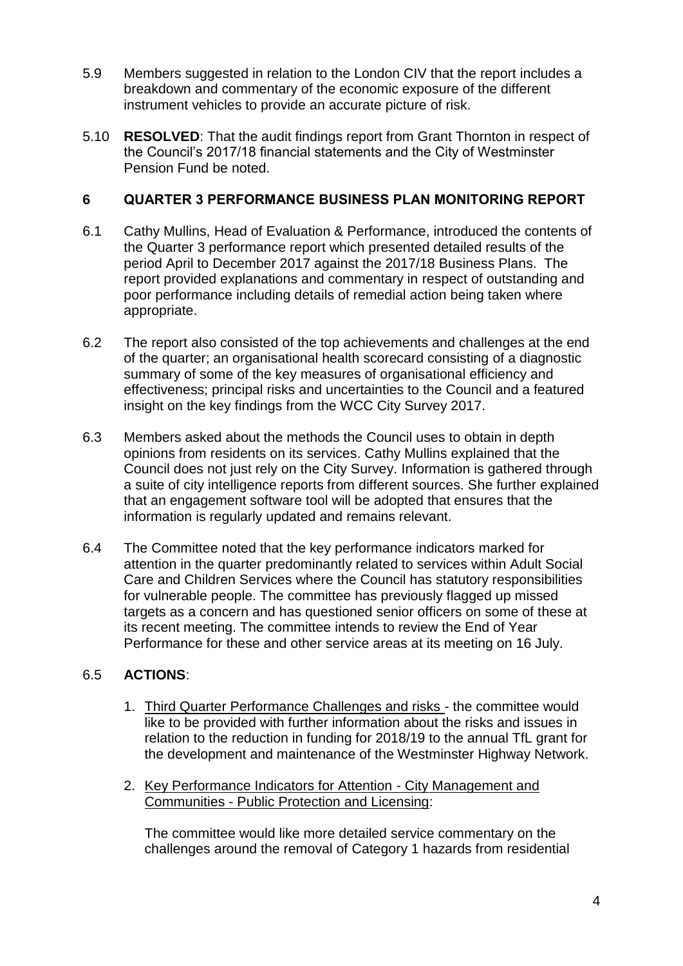- 5.9 Members suggested in relation to the London CIV that the report includes a breakdown and commentary of the economic exposure of the different instrument vehicles to provide an accurate picture of risk.
- 5.10 **RESOLVED**: That the audit findings report from Grant Thornton in respect of the Council's 2017/18 financial statements and the City of Westminster Pension Fund be noted.

# **6 QUARTER 3 PERFORMANCE BUSINESS PLAN MONITORING REPORT**

- 6.1 Cathy Mullins, Head of Evaluation & Performance, introduced the contents of the Quarter 3 performance report which presented detailed results of the period April to December 2017 against the 2017/18 Business Plans. The report provided explanations and commentary in respect of outstanding and poor performance including details of remedial action being taken where appropriate.
- 6.2 The report also consisted of the top achievements and challenges at the end of the quarter; an organisational health scorecard consisting of a diagnostic summary of some of the key measures of organisational efficiency and effectiveness; principal risks and uncertainties to the Council and a featured insight on the key findings from the WCC City Survey 2017.
- 6.3 Members asked about the methods the Council uses to obtain in depth opinions from residents on its services. Cathy Mullins explained that the Council does not just rely on the City Survey. Information is gathered through a suite of city intelligence reports from different sources. She further explained that an engagement software tool will be adopted that ensures that the information is regularly updated and remains relevant.
- 6.4 The Committee noted that the key performance indicators marked for attention in the quarter predominantly related to services within Adult Social Care and Children Services where the Council has statutory responsibilities for vulnerable people. The committee has previously flagged up missed targets as a concern and has questioned senior officers on some of these at its recent meeting. The committee intends to review the End of Year Performance for these and other service areas at its meeting on 16 July.

# 6.5 **ACTIONS**:

- 1. Third Quarter Performance Challenges and risks the committee would like to be provided with further information about the risks and issues in relation to the reduction in funding for 2018/19 to the annual TfL grant for the development and maintenance of the Westminster Highway Network.
- 2. Key Performance Indicators for Attention City Management and Communities - Public Protection and Licensing:

The committee would like more detailed service commentary on the challenges around the removal of Category 1 hazards from residential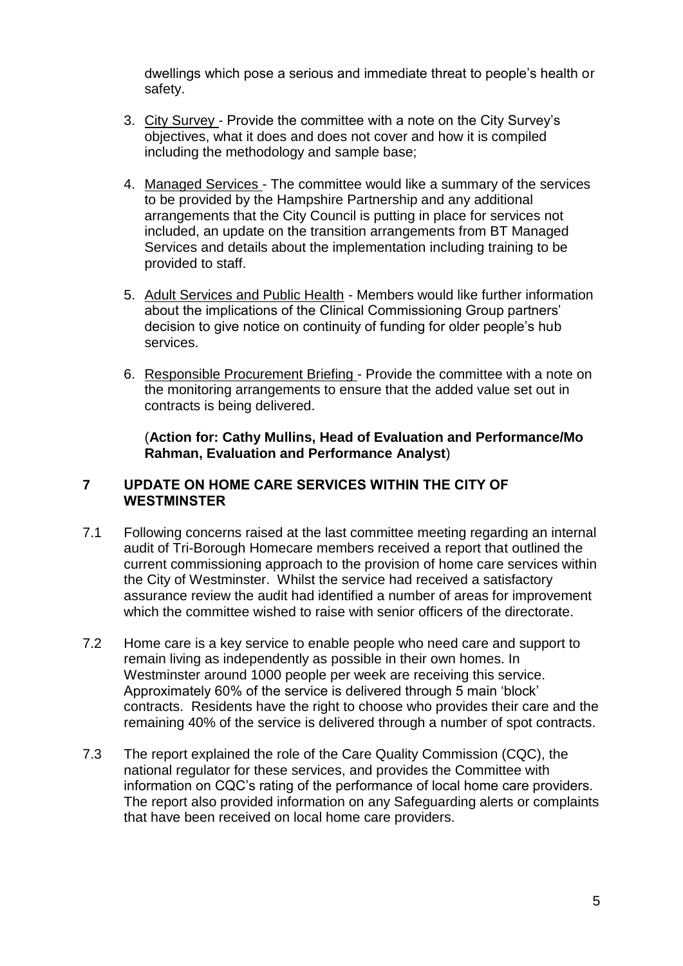dwellings which pose a serious and immediate threat to people's health or safety.

- 3. City Survey Provide the committee with a note on the City Survey's objectives, what it does and does not cover and how it is compiled including the methodology and sample base;
- 4. Managed Services The committee would like a summary of the services to be provided by the Hampshire Partnership and any additional arrangements that the City Council is putting in place for services not included, an update on the transition arrangements from BT Managed Services and details about the implementation including training to be provided to staff.
- 5. Adult Services and Public Health Members would like further information about the implications of the Clinical Commissioning Group partners' decision to give notice on continuity of funding for older people's hub services.
- 6. Responsible Procurement Briefing Provide the committee with a note on the monitoring arrangements to ensure that the added value set out in contracts is being delivered.

(**Action for: Cathy Mullins, Head of Evaluation and Performance/Mo Rahman, Evaluation and Performance Analyst**)

#### **7 UPDATE ON HOME CARE SERVICES WITHIN THE CITY OF WESTMINSTER**

- 7.1 Following concerns raised at the last committee meeting regarding an internal audit of Tri-Borough Homecare members received a report that outlined the current commissioning approach to the provision of home care services within the City of Westminster. Whilst the service had received a satisfactory assurance review the audit had identified a number of areas for improvement which the committee wished to raise with senior officers of the directorate.
- 7.2 Home care is a key service to enable people who need care and support to remain living as independently as possible in their own homes. In Westminster around 1000 people per week are receiving this service. Approximately 60% of the service is delivered through 5 main 'block' contracts. Residents have the right to choose who provides their care and the remaining 40% of the service is delivered through a number of spot contracts.
- 7.3 The report explained the role of the Care Quality Commission (CQC), the national regulator for these services, and provides the Committee with information on CQC's rating of the performance of local home care providers. The report also provided information on any Safeguarding alerts or complaints that have been received on local home care providers.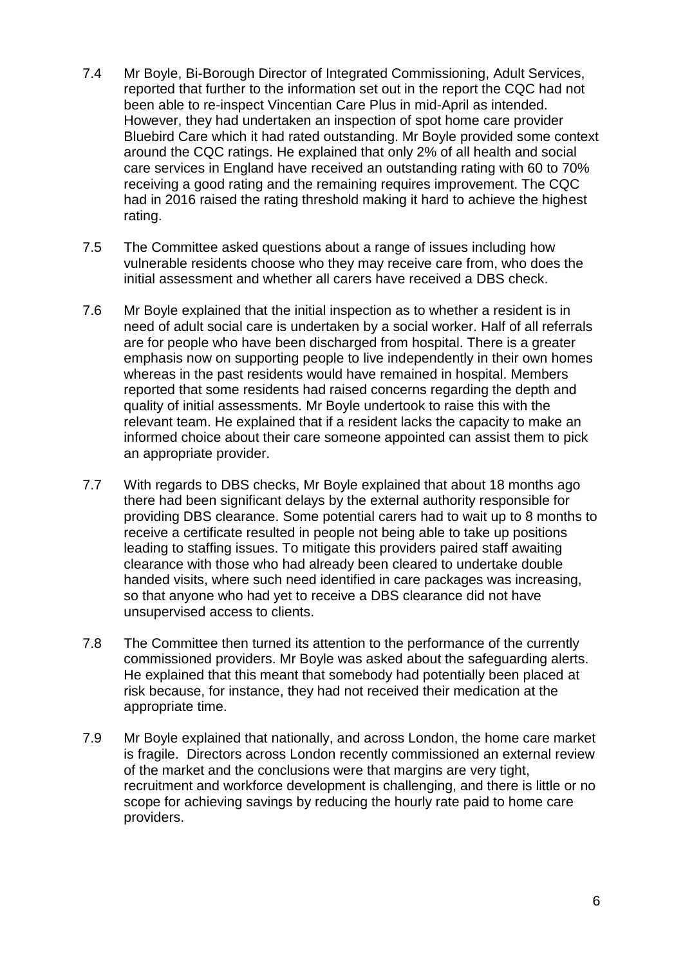- 7.4 Mr Boyle, Bi-Borough Director of Integrated Commissioning, Adult Services, reported that further to the information set out in the report the CQC had not been able to re-inspect Vincentian Care Plus in mid-April as intended. However, they had undertaken an inspection of spot home care provider Bluebird Care which it had rated outstanding. Mr Boyle provided some context around the CQC ratings. He explained that only 2% of all health and social care services in England have received an outstanding rating with 60 to 70% receiving a good rating and the remaining requires improvement. The CQC had in 2016 raised the rating threshold making it hard to achieve the highest rating.
- 7.5 The Committee asked questions about a range of issues including how vulnerable residents choose who they may receive care from, who does the initial assessment and whether all carers have received a DBS check.
- 7.6 Mr Boyle explained that the initial inspection as to whether a resident is in need of adult social care is undertaken by a social worker. Half of all referrals are for people who have been discharged from hospital. There is a greater emphasis now on supporting people to live independently in their own homes whereas in the past residents would have remained in hospital. Members reported that some residents had raised concerns regarding the depth and quality of initial assessments. Mr Boyle undertook to raise this with the relevant team. He explained that if a resident lacks the capacity to make an informed choice about their care someone appointed can assist them to pick an appropriate provider.
- 7.7 With regards to DBS checks, Mr Boyle explained that about 18 months ago there had been significant delays by the external authority responsible for providing DBS clearance. Some potential carers had to wait up to 8 months to receive a certificate resulted in people not being able to take up positions leading to staffing issues. To mitigate this providers paired staff awaiting clearance with those who had already been cleared to undertake double handed visits, where such need identified in care packages was increasing, so that anyone who had yet to receive a DBS clearance did not have unsupervised access to clients.
- 7.8 The Committee then turned its attention to the performance of the currently commissioned providers. Mr Boyle was asked about the safeguarding alerts. He explained that this meant that somebody had potentially been placed at risk because, for instance, they had not received their medication at the appropriate time.
- 7.9 Mr Boyle explained that nationally, and across London, the home care market is fragile. Directors across London recently commissioned an external review of the market and the conclusions were that margins are very tight, recruitment and workforce development is challenging, and there is little or no scope for achieving savings by reducing the hourly rate paid to home care providers.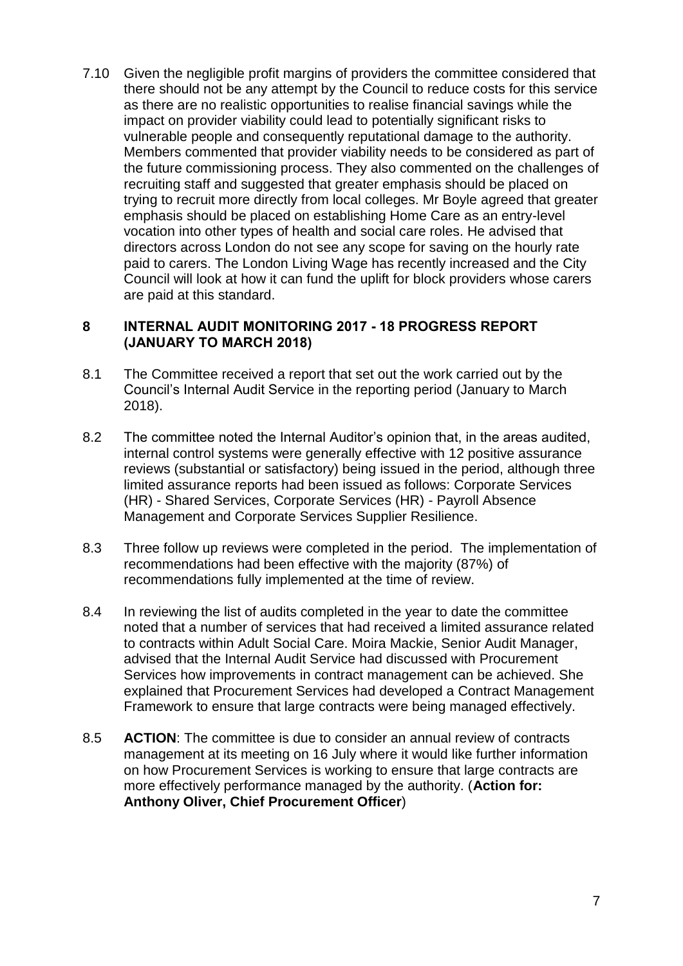7.10 Given the negligible profit margins of providers the committee considered that there should not be any attempt by the Council to reduce costs for this service as there are no realistic opportunities to realise financial savings while the impact on provider viability could lead to potentially significant risks to vulnerable people and consequently reputational damage to the authority. Members commented that provider viability needs to be considered as part of the future commissioning process. They also commented on the challenges of recruiting staff and suggested that greater emphasis should be placed on trying to recruit more directly from local colleges. Mr Boyle agreed that greater emphasis should be placed on establishing Home Care as an entry-level vocation into other types of health and social care roles. He advised that directors across London do not see any scope for saving on the hourly rate paid to carers. The London Living Wage has recently increased and the City Council will look at how it can fund the uplift for block providers whose carers are paid at this standard.

#### **8 INTERNAL AUDIT MONITORING 2017 - 18 PROGRESS REPORT (JANUARY TO MARCH 2018)**

- 8.1 The Committee received a report that set out the work carried out by the Council's Internal Audit Service in the reporting period (January to March 2018).
- 8.2 The committee noted the Internal Auditor's opinion that, in the areas audited, internal control systems were generally effective with 12 positive assurance reviews (substantial or satisfactory) being issued in the period, although three limited assurance reports had been issued as follows: Corporate Services (HR) - Shared Services, Corporate Services (HR) - Payroll Absence Management and Corporate Services Supplier Resilience.
- 8.3 Three follow up reviews were completed in the period. The implementation of recommendations had been effective with the majority (87%) of recommendations fully implemented at the time of review.
- 8.4 In reviewing the list of audits completed in the year to date the committee noted that a number of services that had received a limited assurance related to contracts within Adult Social Care. Moira Mackie, Senior Audit Manager, advised that the Internal Audit Service had discussed with Procurement Services how improvements in contract management can be achieved. She explained that Procurement Services had developed a Contract Management Framework to ensure that large contracts were being managed effectively.
- 8.5 **ACTION**: The committee is due to consider an annual review of contracts management at its meeting on 16 July where it would like further information on how Procurement Services is working to ensure that large contracts are more effectively performance managed by the authority. (**Action for: Anthony Oliver, Chief Procurement Officer**)